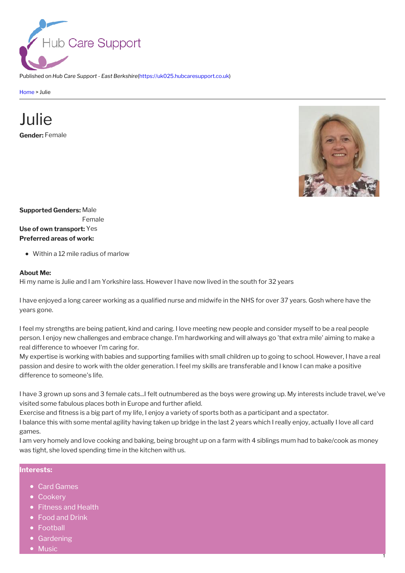

Published on *Hub Care Support - East Berkshire*[\(https://uk025.hubcaresupport.co.uk](https://uk025.hubcaresupport.co.uk))

[Home](https://uk025.hubcaresupport.co.uk/) > Julie

## **Gender:** Female Julie



1

**Supported Genders:** Male Female **Use of own transport:** Yes **Preferred areas of work:**

Within a 12 mile radius of marlow

## **About Me:**

Hi my name is Julie and I am Yorkshire lass. However I have now lived in the south for 32 years

I have enjoyed a long career working as a qualified nurse and midwife in the NHS for over 37 years. Gosh where have the years gone.

I feel my strengths are being patient, kind and caring. I love meeting new people and consider myself to be a real people person. I enjoy new challenges and embrace change. I'm hardworking and will always go 'that extra mile' aiming to make a real difference to whoever I'm caring for.

My expertise is working with babies and supporting families with small children up to going to school. However, I have a real passion and desire to work with the older generation. I feel my skills are transferable and I know Ican make a positive difference to someone's life.

I have 3 grown up sons and 3 female cats...I felt outnumbered as the boys were growing up. My interests include travel, we've visited some fabulous places both in Europe and further afield.

Exercise and fitness is a big part of my life, I enjoy a variety of sports both as a participant and a spectator.

I balance this with some mental agility having taken up bridge in the last 2 years which I really enjoy, actually I love all card games.

I am very homely and love cooking and baking, being brought up on a farm with 4 siblings mum had to bake/cook as money was tight, she loved spending time in the kitchen with us.

## **Interests:**

- Card Games
- Cookery
- Fitness and Health
- Food and Drink
- Football
- Gardening
- Music